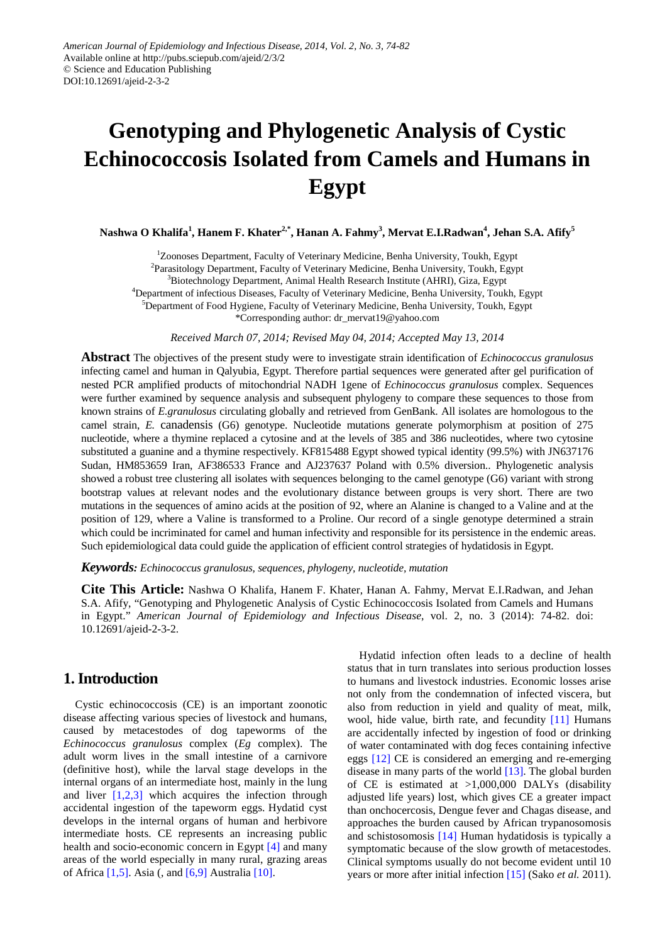# **Genotyping and Phylogenetic Analysis of Cystic Echinococcosis Isolated from Camels and Humans in Egypt**

**Nashwa O Khalifa<sup>1</sup> , Hanem F. Khater2,\* , Hanan A. Fahmy<sup>3</sup> , Mervat E.I.Radwan4 , Jehan S.A. Afify<sup>5</sup>**

<sup>1</sup>Zoonoses Department, Faculty of Veterinary Medicine, Benha University, Toukh, Egypt <sup>2</sup>Parasitology Department, Faculty of Veterinary Medicine, Benha University, Toukh, Egypt <sup>3</sup>Biotechnology Department, Animal Health Research Institute (AHRI), Giza, Egypt <sup>4</sup>Department of infectious Diseases, Faculty of Veterinary Medicine, Benha University, Toukh, Egypt 5 Department of Food Hygiene, Faculty of Veterinary Medicine, Benha University, Toukh, Egypt \*Corresponding author: dr\_mervat19@yahoo.com

*Received March 07, 2014; Revised May 04, 2014; Accepted May 13, 2014*

**Abstract** The objectives of the present study were to investigate strain identification of *Echinococcus granulosus*  infecting camel and human in Qalyubia, Egypt. Therefore partial sequences were generated after gel purification of nested PCR amplified products of mitochondrial NADH 1gene of *Echinococcus granulosus* complex. Sequences were further examined by sequence analysis and subsequent phylogeny to compare these sequences to those from known strains of *E.granulosus* circulating globally and retrieved from GenBank. All isolates are homologous to the camel strain, *E.* canadensis (G6) genotype. Nucleotide mutations generate polymorphism at position of 275 nucleotide, where a thymine replaced a cytosine and at the levels of 385 and 386 nucleotides, where two cytosine substituted a guanine and a thymine respectively. KF815488 Egypt showed typical identity (99.5%) with JN637176 Sudan, HM853659 Iran, AF386533 France and AJ237637 Poland with 0.5% diversion.. Phylogenetic analysis showed a robust tree clustering all isolates with sequences belonging to the camel genotype (G6) variant with strong bootstrap values at relevant nodes and the evolutionary distance between groups is very short. There are two mutations in the sequences of amino acids at the position of 92, where an Alanine is changed to a Valine and at the position of 129, where a Valine is transformed to a Proline. Our record of a single genotype determined a strain which could be incriminated for camel and human infectivity and responsible for its persistence in the endemic areas. Such epidemiological data could guide the application of efficient control strategies of hydatidosis in Egypt.

*Keywords: Echinococcus granulosus, sequences, phylogeny, nucleotide, mutation*

**Cite This Article:** Nashwa O Khalifa, Hanem F. Khater, Hanan A. Fahmy, Mervat E.I.Radwan, and Jehan S.A. Afify, "Genotyping and Phylogenetic Analysis of Cystic Echinococcosis Isolated from Camels and Humans in Egypt." *American Journal of Epidemiology and Infectious Disease*, vol. 2, no. 3 (2014): 74-82. doi: 10.12691/ajeid-2-3-2.

## **1. Introduction**

Cystic echinococcosis (CE) is an important zoonotic disease affecting various species of livestock and humans, caused by metacestodes of dog tapeworms of the *Echinococcus granulosus* complex (*Eg* complex). The adult worm lives in the small intestine of a carnivore (definitive host), while the larval stage develops in the internal organs of an intermediate host, mainly in the lung and liver  $[1,2,3]$  which acquires the infection through accidental ingestion of the tapeworm eggs. Hydatid cyst develops in the internal organs of human and herbivore intermediate hosts. CE represents an increasing public health and socio-economic concern in Egypt [\[4\]](#page-7-1) and many areas of the world especially in many rural, grazing areas of Africa [\[1,5\].](#page-7-0) Asia (, and [\[6,9\]](#page-7-2) Australi[a \[10\].](#page-7-3)

Hydatid infection often leads to a decline of health status that in turn translates into serious production losses to humans and livestock industries. Economic losses arise not only from the condemnation of infected viscera, but also from reduction in yield and quality of meat, milk, wool, hide value, birth rate, and fecundity [\[11\]](#page-7-4) Humans are accidentally infected by ingestion of food or drinking of water contaminated with dog feces containing infective eggs [\[12\]](#page-7-5) CE is considered an emerging and re-emerging disease in many parts of the world [\[13\].](#page-7-6) The global burden of CE is estimated at >1,000,000 DALYs (disability adjusted life years) lost, which gives CE a greater impact than onchocercosis, Dengue fever and Chagas disease, and approaches the burden caused by African trypanosomosis and schistosomosis [\[14\]](#page-7-7) Human hydatidosis is typically a symptomatic because of the slow growth of metacestodes. Clinical symptoms usually do not become evident until 10 years or more after initial infection [\[15\]](#page-7-8) (Sako *et al.* 2011).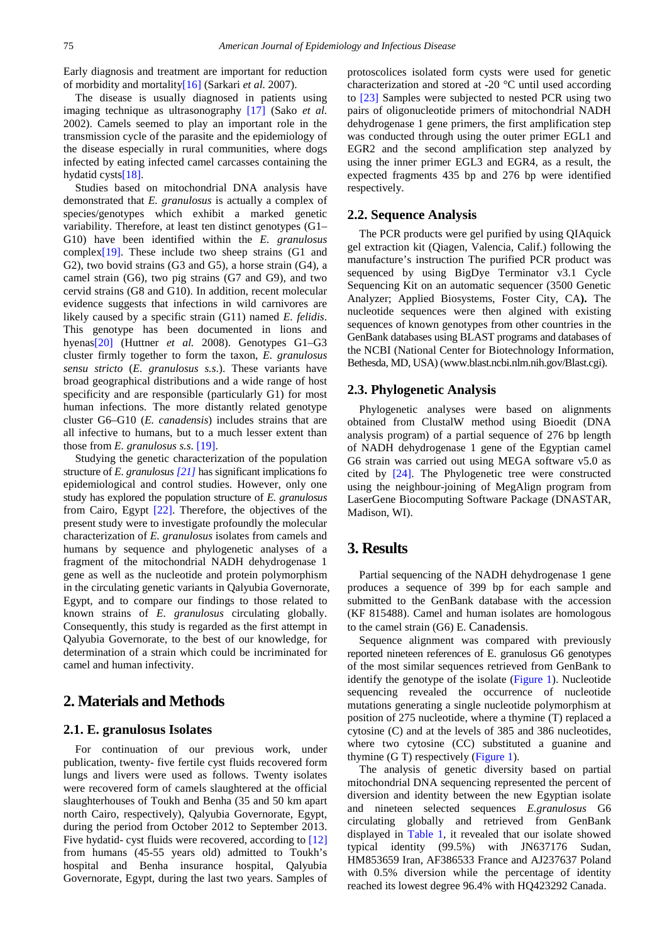Early diagnosis and treatment are important for reduction of morbidity and mortalit[y\[16\]](#page-7-9) (Sarkari *et al.* 2007).

The disease is usually diagnosed in patients using imaging technique as ultrasonography [\[17\]](#page-7-10) (Sako *et al.*  2002). Camels seemed to play an important role in the transmission cycle of the parasite and the epidemiology of the disease especially in rural communities, where dogs infected by eating infected camel carcasses containing the hydatid cyst[s\[18\].](#page-7-11)

Studies based on mitochondrial DNA analysis have demonstrated that *E. granulosus* is actually a complex of species/genotypes which exhibit a marked genetic variability. Therefore, at least ten distinct genotypes (G1– G10) have been identified within the *E. granulosus*  comple[x\[19\].](#page-7-12) These include two sheep strains (G1 and G2), two bovid strains (G3 and G5), a horse strain (G4), a camel strain (G6), two pig strains (G7 and G9), and two cervid strains (G8 and G10). In addition, recent molecular evidence suggests that infections in wild carnivores are likely caused by a specific strain (G11) named *E. felidis*. This genotype has been documented in lions and hyena[s\[20\]](#page-7-13) (Huttner *et al.* 2008). Genotypes G1–G3 cluster firmly together to form the taxon, *E. granulosus sensu stricto* (*E. granulosus s.s*.). These variants have broad geographical distributions and a wide range of host specificity and are responsible (particularly G1) for most human infections. The more distantly related genotype cluster G6–G10 (*E. canadensis*) includes strains that are all infective to humans, but to a much lesser extent than those from *E. granulosus s.s*. [\[19\].](#page-7-12)

Studying the genetic characterization of the population structure of *E. granulosus [\[21\]](#page-7-14)* has significant implications fo epidemiological and control studies. However, only one study has explored the population structure of *E. granulosus* from Cairo, Egypt [\[22\].](#page-7-15) Therefore, the objectives of the present study were to investigate profoundly the molecular characterization of *E. granulosus* isolates from camels and humans by sequence and phylogenetic analyses of a fragment of the mitochondrial NADH dehydrogenase 1 gene as well as the nucleotide and protein polymorphism in the circulating genetic variants in Qalyubia Governorate, Egypt, and to compare our findings to those related to known strains of *E. granulosus* circulating globally. Consequently, this study is regarded as the first attempt in Qalyubia Governorate, to the best of our knowledge, for determination of a strain which could be incriminated for camel and human infectivity.

#### **2. Materials and Methods**

#### **2.1. E. granulosus Isolates**

For continuation of our previous work, under publication, twenty- five fertile cyst fluids recovered form lungs and livers were used as follows. Twenty isolates were recovered form of camels slaughtered at the official slaughterhouses of Toukh and Benha (35 and 50 km apart north Cairo, respectively), Qalyubia Governorate, Egypt, during the period from October 2012 to September 2013. Five hydatid- cyst fluids were recovered, according to [\[12\]](#page-7-5) from humans (45-55 years old) admitted to Toukh's hospital and Benha insurance hospital, Qalyubia Governorate, Egypt, during the last two years. Samples of protoscolices isolated form cysts were used for genetic characterization and stored at -20 °C until used according to [\[23\]](#page-7-16) Samples were subjected to nested PCR using two pairs of oligonucleotide primers of mitochondrial NADH dehydrogenase 1 gene primers, the first amplification step was conducted through using the outer primer EGL1 and EGR2 and the second amplification step analyzed by using the inner primer EGL3 and EGR4, as a result, the expected fragments 435 bp and 276 bp were identified respectively.

#### **2.2. Sequence Analysis**

The PCR products were gel purified by using QIAquick gel extraction kit (Qiagen, Valencia, Calif.) following the manufacture's instruction The purified PCR product was sequenced by using BigDye Terminator v3.1 Cycle Sequencing Kit on an automatic sequencer (3500 Genetic Analyzer; Applied Biosystems, Foster City, CA**).** The nucleotide sequences were then algined with existing sequences of known genotypes from other countries in the GenBank databases using BLAST programs and databases of the NCBI (National Center for Biotechnology Information, Bethesda, MD, USA) (www.blast.ncbi.nlm.nih.gov/Blast.cgi).

#### **2.3. Phylogenetic Analysis**

Phylogenetic analyses were based on alignments obtained from ClustalW method using Bioedit (DNA analysis program) of a partial sequence of 276 bp length of NADH dehydrogenase 1 gene of the Egyptian camel G6 strain was carried out using MEGA software v5.0 as cited by [\[24\].](#page-7-17) The Phylogenetic tree were constructed using the neighbour-joining of MegAlign program from LaserGene Biocomputing Software Package (DNASTAR, Madison, WI).

# **3. Results**

Partial sequencing of the NADH dehydrogenase 1 gene produces a sequence of 399 bp for each sample and submitted to the GenBank database with the accession (KF 815488). Camel and human isolates are homologous to the camel strain (G6) E. Canadensis.

Sequence alignment was compared with previously reported nineteen references of E. granulosus G6 genotypes of the most similar sequences retrieved from GenBank to identify the genotype of the isolate [\(Figure 1\)](#page-2-0). Nucleotide sequencing revealed the occurrence of nucleotide mutations generating a single nucleotide polymorphism at position of 275 nucleotide, where a thymine (T) replaced a cytosine (C) and at the levels of 385 and 386 nucleotides, where two cytosine (CC) substituted a guanine and thymine (G T) respectively [\(Figure 1\)](#page-2-0).

The analysis of genetic diversity based on partial mitochondrial DNA sequencing represented the percent of diversion and identity between the new Egyptian isolate and nineteen selected sequences *E.granulosus* G6 circulating globally and retrieved from GenBank displayed in [Table 1,](#page-3-0) it revealed that our isolate showed typical identity (99.5%) with JN637176 Sudan, HM853659 Iran, AF386533 France and AJ237637 Poland with  $0.5\%$  diversion while the percentage of identity reached its lowest degree 96.4% with HQ423292 Canada.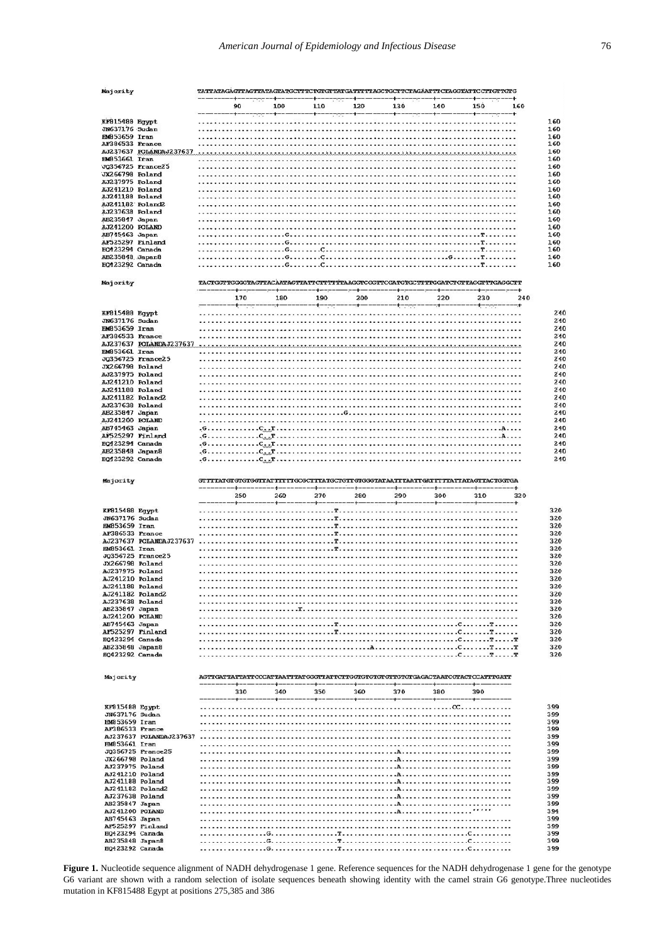<span id="page-2-0"></span>

| Majority                                   |                         | TATTATAGAGITAGTTATAGTATGCTTTCTGTGTTATGATTTTTAGCTGCTTCTAGAATTTCTAGGTATTCCTTGTTGTG |         |             |        |             |         |                 |     |
|--------------------------------------------|-------------------------|----------------------------------------------------------------------------------|---------|-------------|--------|-------------|---------|-----------------|-----|
|                                            |                         | 90                                                                               | 100     | 110         | 120    | 130         | 140     | 150             | 160 |
|                                            |                         | . .                                                                              |         |             |        | -+--        |         | -+-             |     |
| KF815488 Egypt<br><b>JN637176 Sudan</b>    |                         |                                                                                  |         |             |        |             |         |                 |     |
| <b>EMB53659 Iran</b>                       |                         |                                                                                  |         |             |        |             |         |                 |     |
| AF386533 France                            | AJ237637 POLANDAJ237637 |                                                                                  |         |             |        |             |         |                 |     |
| HM853661 Iran                              |                         |                                                                                  |         |             |        |             |         |                 |     |
| JX266798 Poland                            | JQ356725 France25       |                                                                                  |         |             |        |             |         |                 |     |
| AJ237975 Poland                            |                         |                                                                                  |         |             |        |             |         |                 |     |
| AJ241210 Poland<br>AJ241188 Poland         |                         |                                                                                  |         |             |        |             |         |                 |     |
| AJ241182 Poland2                           |                         |                                                                                  |         |             |        |             |         |                 |     |
| AJ237638 Poland<br>AB235847 Japan          |                         |                                                                                  |         |             |        |             |         |                 |     |
| AJ241200 POLAND                            |                         |                                                                                  |         |             |        |             |         |                 |     |
| AB745463 Japan<br>AF525297 Finland         |                         |                                                                                  |         |             |        |             |         |                 |     |
| <b>HQ423294 Canada</b>                     |                         |                                                                                  |         |             |        |             |         |                 |     |
| AB235848 Japan8<br>HQ423292 Canada         |                         |                                                                                  |         |             |        |             |         | $T - 1 - 1 - 1$ |     |
|                                            |                         |                                                                                  |         |             |        |             |         |                 |     |
| Majority                                   |                         | TACTGGTTGGGGTAGTTACAATAGTTATTCTTTTTTAAGGTCGGTTCGATGTGCTTTGGATCTGTTAGGTTTGAGGCTT  |         |             |        |             |         |                 |     |
|                                            |                         | 170                                                                              | 180     | 190         | 200    | 210         | 220     | 230             | 240 |
|                                            |                         |                                                                                  |         |             |        |             |         |                 |     |
| KF815488 Egypt<br>JN637176 Sudan           |                         |                                                                                  |         |             |        |             |         |                 |     |
| <b>HM853659 Iran</b>                       |                         |                                                                                  |         |             |        |             |         |                 |     |
| AF386533 France                            | AJ237637 POLANDAJ237637 |                                                                                  |         |             |        |             |         |                 |     |
| <b>HM853661 Iran</b>                       |                         |                                                                                  |         |             |        |             |         |                 |     |
| JX266798 Poland                            | JQ356725 France25       |                                                                                  |         |             |        |             |         |                 |     |
| AJ237975 Poland                            |                         |                                                                                  |         |             |        |             |         |                 |     |
| AJ241210 Poland                            |                         |                                                                                  |         |             |        |             |         |                 |     |
| <b>AJ241188 Poland</b><br>AJ241182 Poland2 |                         |                                                                                  |         |             |        |             |         |                 |     |
| AJ237638 Poland                            |                         |                                                                                  |         |             |        |             |         |                 |     |
| AB235847 Japan<br>AJ241200 POLAND          |                         |                                                                                  |         |             |        |             |         |                 |     |
| AB745463 Japan                             |                         | $\ldots$ . $C_{n}$ , $T$ .                                                       |         |             |        |             |         |                 |     |
| AF525297 Finland<br><b>EQ423294 Canada</b> |                         | .G. C. . T<br>.G.<br>$\ldots$ $T$ .                                              |         |             |        |             |         |                 |     |
| AB235848 Japan8                            |                         | G.                                                                               | .т      |             |        |             |         |                 |     |
| <b>EQ423292 Canada</b>                     |                         |                                                                                  |         |             |        |             |         |                 |     |
|                                            |                         |                                                                                  |         |             |        |             |         |                 |     |
| Majority                                   |                         |                                                                                  |         |             |        |             |         |                 |     |
|                                            |                         |                                                                                  |         |             |        |             |         | ----+---------+ |     |
|                                            |                         | 250                                                                              | 260     | 270         | 280    | 290         | 300     | 310             | 320 |
| KF815488 Egypt                             |                         |                                                                                  |         |             |        |             |         |                 |     |
| JN637176 Sudan                             |                         |                                                                                  |         |             |        |             |         |                 |     |
| HM853659 Iran<br>AF386533 France           |                         |                                                                                  |         |             |        |             |         |                 |     |
|                                            | AJ237637 POLANDAJ237637 |                                                                                  |         |             |        |             |         |                 |     |
| HM853661 Iran                              | JQ356725 France25       |                                                                                  |         |             |        |             |         |                 |     |
| JX266798 Poland                            |                         |                                                                                  |         |             |        |             |         |                 |     |
| AJ237975 Poland<br>AJ241210 Poland         |                         |                                                                                  |         |             |        |             |         |                 |     |
| AJ241188 Poland                            |                         |                                                                                  |         |             |        |             |         |                 |     |
| AJ241182 Poland2<br>AJ237638 Poland        |                         |                                                                                  |         |             |        |             |         |                 |     |
| AB235847 Japan                             |                         |                                                                                  |         |             |        |             |         |                 |     |
| AJ241200 POLAND<br>AB745463 Japan          |                         |                                                                                  |         |             |        |             |         |                 |     |
| AF525297 Finland                           |                         |                                                                                  |         |             |        |             |         |                 |     |
| <b>HQ423294 Canada</b>                     |                         |                                                                                  |         |             |        |             |         |                 |     |
| AB235848 Japan8<br><b>FQ423292 Canada</b>  |                         |                                                                                  |         |             |        |             |         |                 |     |
|                                            |                         |                                                                                  |         |             |        |             |         |                 |     |
| Majority                                   |                         |                                                                                  |         |             |        |             |         |                 |     |
|                                            |                         | 330                                                                              | 340     | 350         | 360    | 370         | 380     | 390             |     |
|                                            |                         | ----+--                                                                          | $-++--$ | $--- + ---$ | ---+-- | $--- + - -$ | ----+-- | $-+-$           |     |
| KF915488 Egypt<br>JN637176 Sudan           |                         |                                                                                  |         |             |        |             |         |                 |     |
| HM853659 Iran                              |                         |                                                                                  |         |             |        |             |         |                 |     |
| AF386533 France                            | AJ237637 POLANDAJ237637 |                                                                                  |         |             |        |             |         |                 |     |
| <b>HM853661 Iran</b>                       |                         |                                                                                  |         |             |        |             |         |                 |     |
| JX266798 Poland                            | JQ356725 France25       |                                                                                  |         |             |        |             |         |                 |     |
| AJ237975 Poland                            |                         |                                                                                  |         |             |        |             |         |                 |     |
| AJ241210 Poland<br>AJ241188 Poland         |                         |                                                                                  |         |             |        |             |         |                 |     |
|                                            | AJ241182 Poland2        |                                                                                  |         |             |        |             |         |                 |     |
| AJ237638 Poland                            |                         |                                                                                  |         |             |        |             |         |                 |     |
| AB235847 Japan<br>AJ241200 POLAND          |                         |                                                                                  |         |             |        |             |         |                 |     |
| AB745463 Japan                             |                         |                                                                                  |         |             |        |             |         |                 |     |
| EQ423294 Canada                            | AF525297 Finland        |                                                                                  |         |             |        |             |         |                 |     |
| AB235848 Japan8<br>EQ423292 Canada         |                         |                                                                                  |         |             |        |             |         |                 |     |

**Figure 1.** Nucleotide sequence alignment of NADH dehydrogenase 1 gene. Reference sequences for the NADH dehydrogenase 1 gene for the genotype G6 variant are shown with a random selection of isolate sequences beneath showing identity with the camel strain G6 genotype.Three nucleotides mutation in KF815488 Egypt at positions 275,385 and 386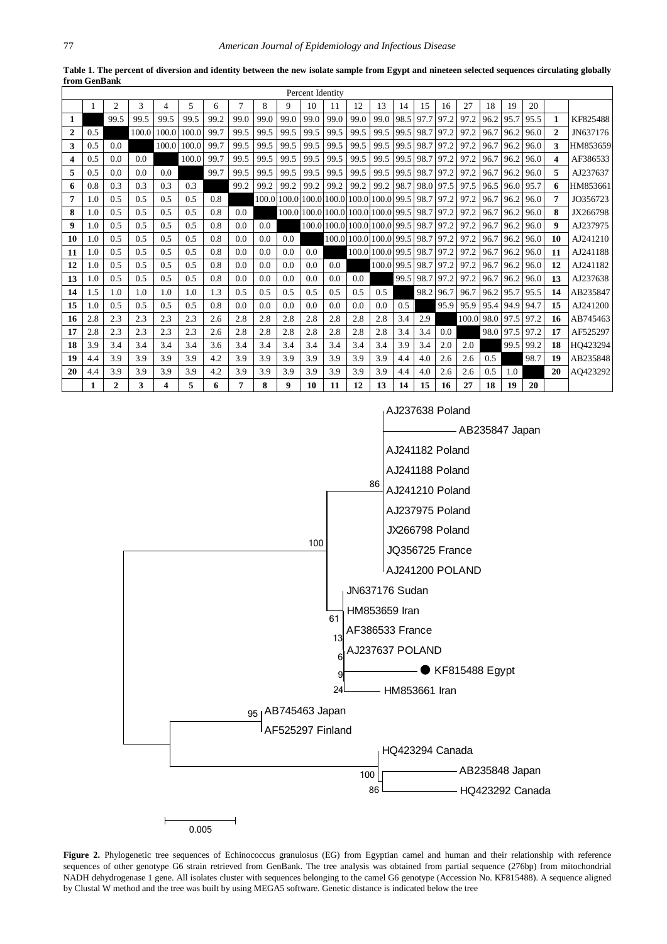<span id="page-3-0"></span>

|              |     |                |       |                |       |      |                |       |      | Percent Identity  |             |                  |       |      |           |      |            |      |      |      |              |          |
|--------------|-----|----------------|-------|----------------|-------|------|----------------|-------|------|-------------------|-------------|------------------|-------|------|-----------|------|------------|------|------|------|--------------|----------|
|              |     | $\overline{2}$ | 3     | $\overline{4}$ | 5     | 6    | $\overline{7}$ | 8     | 9    | 10                | 11          | 12               | 13    | 14   | 15        | 16   | 27         | 18   | 19   | 20   |              |          |
| 1            |     | 99.5           | 99.5  | 99.5           | 99.5  | 99.2 | 99.0           | 99.0  | 99.0 | 99.0              | 99.0        | 99.0             | 99.0  | 98.5 | 97.7      | 97.2 | 97.2       | 96.2 | 95.7 | 95.5 | 1            | KF825488 |
| $\mathbf{2}$ | 0.5 |                | 100.0 | 100.0          | 100.0 | 99.7 | 99.5           | 99.5  | 99.5 | 99.5              | 99.5        | 99.5             | 99.5  | 99.5 | 98.7      | 97.2 | 97.2       | 96.7 | 96.2 | 96.0 | $\mathbf{2}$ | JN637176 |
| 3            | 0.5 | 0.0            |       | 100.0          | 100.0 | 99.7 | 99.5           | 99.5  | 99.5 | 99.5              | 99.5        | 99.5             | 99.5  | 99.5 | 98.7      | 97.2 | 97.2       | 96.7 | 96.2 | 96.0 | 3            | HM853659 |
| 4            | 0.5 | 0.0            | 0.0   |                | 100.0 | 99.7 | 99.5           | 99.5  | 99.5 | 99.5              | 99.5        | 99.5             | 99.5  | 99.5 | 98.7      | 97.2 | 97.2       | 96.7 | 96.2 | 96.0 | 4            | AF386533 |
| 5            | 0.5 | 0.0            | 0.0   | 0.0            |       | 99.7 | 99.5           | 99.5  | 99.5 | 99.5              | 99.5        | 99.5             | 99.5  | 99.5 | 98.7 97.2 |      | 97.2       | 96.7 | 96.2 | 96.0 | 5            | AJ237637 |
| 6            | 0.8 | 0.3            | 0.3   | 0.3            | 0.3   |      | 99.2           | 99.2  | 99.2 | 99.2              | 99.2        | 99.2             | 99.2  | 98.7 | 98.0      | 97.5 | 97.5       | 96.5 | 96.0 | 95.7 | 6            | HM853661 |
| 7            | 1.0 | 0.5            | 0.5   | 0.5            | 0.5   | 0.8  |                | 100.0 |      | 100.0 100.0 100.0 |             | 100.0            | 100.0 | 99.5 | 98.7      | 97.2 | 97.2       | 96.7 | 96.2 | 96.0 | 7            | JO356723 |
| 8            | 1.0 | 0.5            | 0.5   | 0.5            | 0.5   | 0.8  | 0.0            |       |      | 100.0 100.0 100.0 |             | 100.0 100.0 99.5 |       |      | 98.7      | 97.2 | 97.2       | 96.7 | 96.2 | 96.0 | 8            | JX266798 |
| 9            | 1.0 | 0.5            | 0.5   | 0.5            | 0.5   | 0.8  | 0.0            | 0.0   |      |                   | 100.0 100.0 | 100.0 100.0      |       | 99.5 | 98.7      | 97.2 | 97.2       | 96.7 | 96.2 | 96.0 | 9            | AJ237975 |
| 10           | 1.0 | 0.5            | 0.5   | 0.5            | 0.5   | 0.8  | 0.0            | 0.0   | 0.0  |                   | 100.0       | 100.0 100.0 99.5 |       |      | 98.7 97.2 |      | 97.2       | 96.7 | 96.2 | 96.0 | 10           | AJ241210 |
| 11           | 1.0 | 0.5            | 0.5   | 0.5            | 0.5   | 0.8  | 0.0            | 0.0   | 0.0  | 0.0               |             | 100.0            | 100.0 | 99.5 | 98.7      | 97.2 | 97.2       | 96.7 | 96.2 | 96.0 | 11           | AJ241188 |
| 12           | 1.0 | 0.5            | 0.5   | 0.5            | 0.5   | 0.8  | 0.0            | 0.0   | 0.0  | 0.0               | 0.0         |                  | 100.0 | 99.5 | 98.7      | 97.2 | 97.2       | 96.7 | 96.2 | 96.0 | 12           | AJ241182 |
| 13           | 1.0 | 0.5            | 0.5   | 0.5            | 0.5   | 0.8  | 0.0            | 0.0   | 0.0  | 0.0               | 0.0         | 0.0              |       | 99.5 | 98.7      | 97.2 | 97.2       | 96.7 | 96.2 | 96.0 | 13           | AJ237638 |
| 14           | 1.5 | 1.0            | 1.0   | 1.0            | 1.0   | 1.3  | 0.5            | 0.5   | 0.5  | 0.5               | 0.5         | 0.5              | 0.5   |      | 98.2      | 96.7 | 96.7       | 96.2 | 95.7 | 95.5 | 14           | AB235847 |
| 15           | 1.0 | 0.5            | 0.5   | 0.5            | 0.5   | 0.8  | 0.0            | 0.0   | 0.0  | 0.0               | 0.0         | 0.0              | 0.0   | 0.5  |           | 95.9 | 95.9       | 95.4 | 94.9 | 94.7 | 15           | AJ241200 |
| 16           | 2.8 | 2.3            | 2.3   | 2.3            | 2.3   | 2.6  | 2.8            | 2.8   | 2.8  | 2.8               | 2.8         | 2.8              | 2.8   | 3.4  | 2.9       |      | 100.0 98.0 |      | 97.5 | 97.2 | 16           | AB745463 |
| 17           | 2.8 | 2.3            | 2.3   | 2.3            | 2.3   | 2.6  | 2.8            | 2.8   | 2.8  | 2.8               | 2.8         | 2.8              | 2.8   | 3.4  | 3.4       | 0.0  |            | 98.0 | 97.5 | 97.2 | 17           | AF525297 |
| 18           | 3.9 | 3.4            | 3.4   | 3.4            | 3.4   | 3.6  | 3.4            | 3.4   | 3.4  | 3.4               | 3.4         | 3.4              | 3.4   | 3.9  | 3.4       | 2.0  | 2.0        |      | 99.5 | 99.2 | 18           | HO423294 |
| 19           | 4.4 | 3.9            | 3.9   | 3.9            | 3.9   | 4.2  | 3.9            | 3.9   | 3.9  | 3.9               | 3.9         | 3.9              | 3.9   | 4.4  | 4.0       | 2.6  | 2.6        | 0.5  |      | 98.7 | 19           | AB235848 |
| 20           | 4.4 | 3.9            | 3.9   | 3.9            | 3.9   | 4.2  | 3.9            | 3.9   | 3.9  | 3.9               | 3.9         | 3.9              | 3.9   | 4.4  | 4.0       | 2.6  | 2.6        | 0.5  | 1.0  |      | 20           | AQ423292 |
|              | 1   | $\mathbf{2}$   | 3     | 4              | 5     | 6    | 7              | 8     | 9    | 10                | 11          | 12               | 13    | 14   | 15        | 16   | 27         | 18   | 19   | 20   |              |          |

**Table 1. The percent of diversion and identity between the new isolate sample from Egypt and nineteen selected sequences circulating globally from GenBank**

<span id="page-3-1"></span>

Figure 2. Phylogenetic tree sequences of Echinococcus granulosus (EG) from Egyptian camel and human and their relationship with reference sequences of other genotype G6 strain retrieved from GenBank. The tree analysis was obtained from partial sequence (276bp) from mitochondrial NADH dehydrogenase 1 gene. All isolates cluster with sequences belonging to the camel G6 genotype (Accession No. KF815488). A sequence aligned by Clustal W method and the tree was built by using MEGA5 software. Genetic distance is indicated below the tree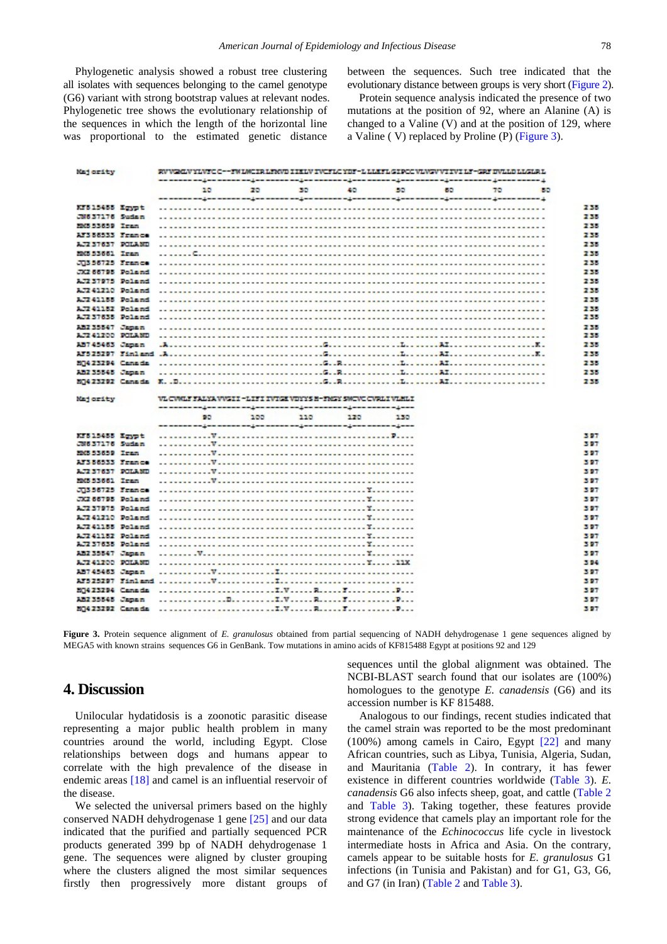Phylogenetic analysis showed a robust tree clustering all isolates with sequences belonging to the camel genotype (G6) variant with strong bootstrap values at relevant nodes. Phylogenetic tree shows the evolutionary relationship of the sequences in which the length of the horizontal line was proportional to the estimated genetic distance

between the sequences. Such tree indicated that the evolutionary distance between groups is very short [\(Figure 2\)](#page-3-1).

Protein sequence analysis indicated the presence of two mutations at the position of 92, where an Alanine (A) is changed to a Valine (V) and at the position of 129, where a Valine ( V) replaced by Proline (P) [\(Figure 3\)](#page-4-0).

<span id="page-4-0"></span>

| 60<br>20<br>30<br>40<br>55<br>1989<br>30<br>350<br>an annon ang an annon ang an annon ang an annon ag ann annon ag ann annon ag ann annon gwann annon g<br>KFS15455 Ervot<br>J8637176 Sudan<br>FRS 55659 Ires<br>Arsocias Franco<br>1,72 37637 POLLMD<br>MMS 53661 Iran<br>JUSSOTZS France<br>JEZ 66795 Poland<br>AJZ 37975 Poland<br>AJZ41Z10 Poland<br><b>LT241155 Poland</b><br>ATZ41152 Poland<br>1.7237635 Poland<br>Miz 35547 Japan<br>ATZ 41200 POLAND<br>55745463 James<br>50423294 Canada<br>anzasses Japan<br>VL CWILF FALYA VVSI I - LIFI IVIGI VIYYS B-FMSY SMCVC CWILI VLRLI<br>100<br>110<br>170<br>90<br>130<br>Kr815455 Krypt<br>JN637176 Sudan<br>MAS 53659 Iran<br>ATSB8533 France<br><b>ATLANTAST POINTS</b><br>MAS 53661 Iran<br>JUSSOTES France<br>JKZ 66795 Poland<br>Alz37975 Poland<br>AT241710 Poland<br>ATZA1155 Poland<br><b>ATZAILSZ Polared</b><br>AJ237635 Poland<br>332 35547 Japan<br>ATZ41200 POLAND<br>ANT-45463 Jaman<br>80423294 Canada<br>322 33545 Japan | Majority | EV VENIV YLVEC C--FN LWI IR LEWER I ISLW EVERLE YNF-L LLEFTL GEROC VLWIV YT IVI LE-GRE IWLLD LLGLR L |  |  |  |  |
|------------------------------------------------------------------------------------------------------------------------------------------------------------------------------------------------------------------------------------------------------------------------------------------------------------------------------------------------------------------------------------------------------------------------------------------------------------------------------------------------------------------------------------------------------------------------------------------------------------------------------------------------------------------------------------------------------------------------------------------------------------------------------------------------------------------------------------------------------------------------------------------------------------------------------------------------------------------------------------------------|----------|------------------------------------------------------------------------------------------------------|--|--|--|--|
|                                                                                                                                                                                                                                                                                                                                                                                                                                                                                                                                                                                                                                                                                                                                                                                                                                                                                                                                                                                                |          |                                                                                                      |  |  |  |  |
|                                                                                                                                                                                                                                                                                                                                                                                                                                                                                                                                                                                                                                                                                                                                                                                                                                                                                                                                                                                                |          |                                                                                                      |  |  |  |  |
|                                                                                                                                                                                                                                                                                                                                                                                                                                                                                                                                                                                                                                                                                                                                                                                                                                                                                                                                                                                                |          |                                                                                                      |  |  |  |  |
|                                                                                                                                                                                                                                                                                                                                                                                                                                                                                                                                                                                                                                                                                                                                                                                                                                                                                                                                                                                                |          |                                                                                                      |  |  |  |  |
|                                                                                                                                                                                                                                                                                                                                                                                                                                                                                                                                                                                                                                                                                                                                                                                                                                                                                                                                                                                                |          |                                                                                                      |  |  |  |  |
|                                                                                                                                                                                                                                                                                                                                                                                                                                                                                                                                                                                                                                                                                                                                                                                                                                                                                                                                                                                                |          |                                                                                                      |  |  |  |  |
|                                                                                                                                                                                                                                                                                                                                                                                                                                                                                                                                                                                                                                                                                                                                                                                                                                                                                                                                                                                                |          |                                                                                                      |  |  |  |  |
|                                                                                                                                                                                                                                                                                                                                                                                                                                                                                                                                                                                                                                                                                                                                                                                                                                                                                                                                                                                                |          |                                                                                                      |  |  |  |  |
|                                                                                                                                                                                                                                                                                                                                                                                                                                                                                                                                                                                                                                                                                                                                                                                                                                                                                                                                                                                                |          |                                                                                                      |  |  |  |  |
|                                                                                                                                                                                                                                                                                                                                                                                                                                                                                                                                                                                                                                                                                                                                                                                                                                                                                                                                                                                                |          |                                                                                                      |  |  |  |  |
|                                                                                                                                                                                                                                                                                                                                                                                                                                                                                                                                                                                                                                                                                                                                                                                                                                                                                                                                                                                                |          |                                                                                                      |  |  |  |  |
|                                                                                                                                                                                                                                                                                                                                                                                                                                                                                                                                                                                                                                                                                                                                                                                                                                                                                                                                                                                                |          |                                                                                                      |  |  |  |  |
|                                                                                                                                                                                                                                                                                                                                                                                                                                                                                                                                                                                                                                                                                                                                                                                                                                                                                                                                                                                                |          |                                                                                                      |  |  |  |  |
|                                                                                                                                                                                                                                                                                                                                                                                                                                                                                                                                                                                                                                                                                                                                                                                                                                                                                                                                                                                                |          |                                                                                                      |  |  |  |  |
|                                                                                                                                                                                                                                                                                                                                                                                                                                                                                                                                                                                                                                                                                                                                                                                                                                                                                                                                                                                                |          |                                                                                                      |  |  |  |  |
|                                                                                                                                                                                                                                                                                                                                                                                                                                                                                                                                                                                                                                                                                                                                                                                                                                                                                                                                                                                                |          |                                                                                                      |  |  |  |  |
|                                                                                                                                                                                                                                                                                                                                                                                                                                                                                                                                                                                                                                                                                                                                                                                                                                                                                                                                                                                                |          |                                                                                                      |  |  |  |  |
|                                                                                                                                                                                                                                                                                                                                                                                                                                                                                                                                                                                                                                                                                                                                                                                                                                                                                                                                                                                                |          |                                                                                                      |  |  |  |  |
|                                                                                                                                                                                                                                                                                                                                                                                                                                                                                                                                                                                                                                                                                                                                                                                                                                                                                                                                                                                                |          |                                                                                                      |  |  |  |  |
|                                                                                                                                                                                                                                                                                                                                                                                                                                                                                                                                                                                                                                                                                                                                                                                                                                                                                                                                                                                                |          |                                                                                                      |  |  |  |  |
|                                                                                                                                                                                                                                                                                                                                                                                                                                                                                                                                                                                                                                                                                                                                                                                                                                                                                                                                                                                                |          |                                                                                                      |  |  |  |  |
|                                                                                                                                                                                                                                                                                                                                                                                                                                                                                                                                                                                                                                                                                                                                                                                                                                                                                                                                                                                                |          |                                                                                                      |  |  |  |  |
|                                                                                                                                                                                                                                                                                                                                                                                                                                                                                                                                                                                                                                                                                                                                                                                                                                                                                                                                                                                                | Majority |                                                                                                      |  |  |  |  |
|                                                                                                                                                                                                                                                                                                                                                                                                                                                                                                                                                                                                                                                                                                                                                                                                                                                                                                                                                                                                |          |                                                                                                      |  |  |  |  |
|                                                                                                                                                                                                                                                                                                                                                                                                                                                                                                                                                                                                                                                                                                                                                                                                                                                                                                                                                                                                |          |                                                                                                      |  |  |  |  |
|                                                                                                                                                                                                                                                                                                                                                                                                                                                                                                                                                                                                                                                                                                                                                                                                                                                                                                                                                                                                |          |                                                                                                      |  |  |  |  |
|                                                                                                                                                                                                                                                                                                                                                                                                                                                                                                                                                                                                                                                                                                                                                                                                                                                                                                                                                                                                |          |                                                                                                      |  |  |  |  |
|                                                                                                                                                                                                                                                                                                                                                                                                                                                                                                                                                                                                                                                                                                                                                                                                                                                                                                                                                                                                |          |                                                                                                      |  |  |  |  |
|                                                                                                                                                                                                                                                                                                                                                                                                                                                                                                                                                                                                                                                                                                                                                                                                                                                                                                                                                                                                |          |                                                                                                      |  |  |  |  |
|                                                                                                                                                                                                                                                                                                                                                                                                                                                                                                                                                                                                                                                                                                                                                                                                                                                                                                                                                                                                |          |                                                                                                      |  |  |  |  |
|                                                                                                                                                                                                                                                                                                                                                                                                                                                                                                                                                                                                                                                                                                                                                                                                                                                                                                                                                                                                |          |                                                                                                      |  |  |  |  |
|                                                                                                                                                                                                                                                                                                                                                                                                                                                                                                                                                                                                                                                                                                                                                                                                                                                                                                                                                                                                |          |                                                                                                      |  |  |  |  |
|                                                                                                                                                                                                                                                                                                                                                                                                                                                                                                                                                                                                                                                                                                                                                                                                                                                                                                                                                                                                |          |                                                                                                      |  |  |  |  |
|                                                                                                                                                                                                                                                                                                                                                                                                                                                                                                                                                                                                                                                                                                                                                                                                                                                                                                                                                                                                |          |                                                                                                      |  |  |  |  |
|                                                                                                                                                                                                                                                                                                                                                                                                                                                                                                                                                                                                                                                                                                                                                                                                                                                                                                                                                                                                |          |                                                                                                      |  |  |  |  |
|                                                                                                                                                                                                                                                                                                                                                                                                                                                                                                                                                                                                                                                                                                                                                                                                                                                                                                                                                                                                |          |                                                                                                      |  |  |  |  |
|                                                                                                                                                                                                                                                                                                                                                                                                                                                                                                                                                                                                                                                                                                                                                                                                                                                                                                                                                                                                |          |                                                                                                      |  |  |  |  |
|                                                                                                                                                                                                                                                                                                                                                                                                                                                                                                                                                                                                                                                                                                                                                                                                                                                                                                                                                                                                |          |                                                                                                      |  |  |  |  |
|                                                                                                                                                                                                                                                                                                                                                                                                                                                                                                                                                                                                                                                                                                                                                                                                                                                                                                                                                                                                |          |                                                                                                      |  |  |  |  |
|                                                                                                                                                                                                                                                                                                                                                                                                                                                                                                                                                                                                                                                                                                                                                                                                                                                                                                                                                                                                |          |                                                                                                      |  |  |  |  |
|                                                                                                                                                                                                                                                                                                                                                                                                                                                                                                                                                                                                                                                                                                                                                                                                                                                                                                                                                                                                |          |                                                                                                      |  |  |  |  |
|                                                                                                                                                                                                                                                                                                                                                                                                                                                                                                                                                                                                                                                                                                                                                                                                                                                                                                                                                                                                |          |                                                                                                      |  |  |  |  |
|                                                                                                                                                                                                                                                                                                                                                                                                                                                                                                                                                                                                                                                                                                                                                                                                                                                                                                                                                                                                |          |                                                                                                      |  |  |  |  |
|                                                                                                                                                                                                                                                                                                                                                                                                                                                                                                                                                                                                                                                                                                                                                                                                                                                                                                                                                                                                |          |                                                                                                      |  |  |  |  |
|                                                                                                                                                                                                                                                                                                                                                                                                                                                                                                                                                                                                                                                                                                                                                                                                                                                                                                                                                                                                |          |                                                                                                      |  |  |  |  |

**Figure 3.** Protein sequence alignment of *E. granulosus* obtained from partial sequencing of NADH dehydrogenase 1 gene sequences aligned by MEGA5 with known strains sequences G6 in GenBank. Tow mutations in amino acids of KF815488 Egypt at positions 92 and 129

# **4. Discussion**

Unilocular hydatidosis is a zoonotic parasitic disease representing a major public health problem in many countries around the world, including Egypt. Close relationships between dogs and humans appear to correlate with the high prevalence of the disease in endemic areas [\[18\]](#page-7-11) and camel is an influential reservoir of the disease.

We selected the universal primers based on the highly conserved NADH dehydrogenase 1 gene [\[25\]](#page-7-18) and our data indicated that the purified and partially sequenced PCR products generated 399 bp of NADH dehydrogenase 1 gene. The sequences were aligned by cluster grouping where the clusters aligned the most similar sequences firstly then progressively more distant groups of sequences until the global alignment was obtained. The NCBI-BLAST search found that our isolates are (100%) homologues to the genotype *E. canadensis* (G6) and its accession number is KF 815488.

Analogous to our findings, recent studies indicated that the camel strain was reported to be the most predominant (100%) among camels in Cairo, Egypt [\[22\]](#page-7-15) and many African countries, such as Libya, Tunisia, Algeria, Sudan, and Mauritania [\(Table 2\)](#page-5-0). In contrary, it has fewer existence in different countries worldwide [\(Table 3\)](#page-5-1). *E. canadensis* G6 also infects sheep, goat, and cattle [\(Table 2](#page-5-0) and [Table 3\)](#page-5-1). Taking together, these features provide strong evidence that camels play an important role for the maintenance of the *Echinococcus* life cycle in livestock intermediate hosts in Africa and Asia. On the contrary, camels appear to be suitable hosts for *E. granulosus* G1 infections (in Tunisia and Pakistan) and for G1, G3, G6, and G7 (in Iran) [\(Table 2](#page-5-0) and [Table 3\)](#page-5-1).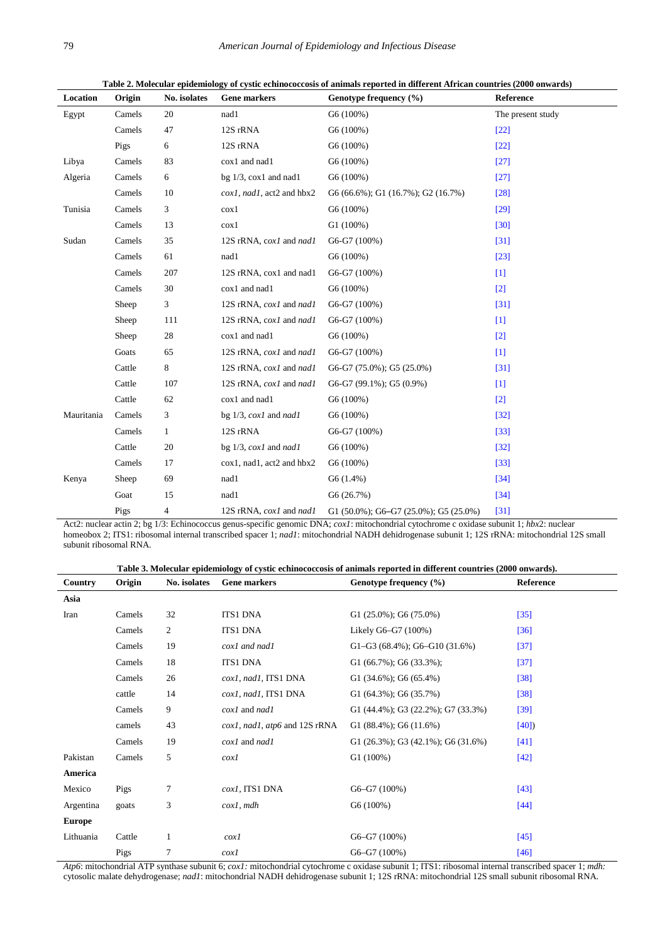<span id="page-5-0"></span>

| Location   | Origin | No. isolates   | Gene markers                       | Genotype frequency (%)                           | Reference         |
|------------|--------|----------------|------------------------------------|--------------------------------------------------|-------------------|
| Egypt      | Camels | 20             | nad1                               | G6 (100%)                                        | The present study |
|            | Camels | 47             | 12S rRNA                           | G6 (100%)                                        | $[22]$            |
|            | Pigs   | 6              | 12S rRNA                           | G6 (100%)                                        | $[22]$            |
| Libya      | Camels | 83             | cox1 and nad1                      | G6 (100%)                                        | $[27]$            |
| Algeria    | Camels | 6              | bg $1/3$ , $\cos 1$ and nad 1      | G6(100%)                                         | $[27]$            |
|            | Camels | 10             | $\cos l$ , nad1, act2 and hbx2     | $G6 (66.6\%)$ ; $G1 (16.7\%)$ ; $G2 (16.7\%)$    | $[28]$            |
| Tunisia    | Camels | 3              | $\cos 1$                           | G6(100%)                                         | $[29]$            |
|            | Camels | 13             | $\cos 1$                           | G1(100%)                                         | $[30]$            |
| Sudan      | Camels | 35             | 12S rRNA, cox1 and nad1            | G6-G7 (100%)                                     | $[31]$            |
|            | Camels | 61             | nad1                               | G6 (100%)                                        | $[23]$            |
|            | Camels | 207            | 12S rRNA, cox1 and nad1            | G6-G7 (100%)                                     | $[1]$             |
|            | Camels | 30             | cox1 and nad1                      | G6 (100%)                                        | $[2]$             |
|            | Sheep  | 3              | 12S rRNA, cox1 and nad1            | G6-G7 (100%)                                     | $[31]$            |
|            | Sheep  | 111            | 12S rRNA, cox1 and nad1            | G6-G7 (100%)                                     | $[1]$             |
|            | Sheep  | 28             | cox1 and nad1                      | G6 (100%)                                        | $[2]$             |
|            | Goats  | 65             | 12S rRNA, cox1 and nad1            | G6-G7 (100%)                                     | $[1]$             |
|            | Cattle | 8              | 12S rRNA, cox1 and nad1            | $G6-G7 (75.0\%)$ ; $G5 (25.0\%)$                 | $[31]$            |
|            | Cattle | 107            | 12S rRNA, cox1 and nad1            | $G6-G7 (99.1\%)$ ; $G5 (0.9\%)$                  | $[1]$             |
|            | Cattle | 62             | cox1 and nad1                      | G6(100%)                                         | $[2]$             |
| Mauritania | Camels | 3              | bg $1/3$ , $\cos l$ and $\eta$ adl | G6 (100%)                                        | $[32]$            |
|            | Camels | $\mathbf{1}$   | 12S rRNA                           | $G6-G7(100%)$                                    | $[33]$            |
|            | Cattle | 20             | bg $1/3$ , $\cos 1$ and $\eta$ adl | G6 (100%)                                        | $[32]$            |
|            | Camels | 17             | cox1, nad1, act2 and hbx2          | G6 (100%)                                        | $[33]$            |
| Kenya      | Sheep  | 69             | nad1                               | G6(1.4%)                                         | $[34]$            |
|            | Goat   | 15             | nad1                               | G6(26.7%)                                        | $[34]$            |
|            | Pigs   | $\overline{4}$ | 12S rRNA, cox1 and nad1            | G1 $(50.0\%)$ ; G6-G7 $(25.0\%)$ ; G5 $(25.0\%)$ | [31]              |

**Table 2. Molecular epidemiology of cystic echinococcosis of animals reported in different African countries (2000 onwards)**

Act2: nuclear actin 2; bg 1/3: Echinococcus genus-specific genomic DNA; *cox1*: mitochondrial cytochrome c oxidase subunit 1; *hbx*2: nuclear homeobox 2; ITS1: ribosomal internal transcribed spacer 1; *nad1*: mitochondrial NADH dehidrogenase subunit 1; 12S rRNA: mitochondrial 12S small subunit ribosomal RNA.

| Table 3. Molecular epidemiology of cystic echinococcosis of animals reported in different countries (2000 onwards). |  |  |  |  |  |
|---------------------------------------------------------------------------------------------------------------------|--|--|--|--|--|
|---------------------------------------------------------------------------------------------------------------------|--|--|--|--|--|

<span id="page-5-1"></span>

| Country       | Origin | No. isolates | Gene markers                  | Genotype frequency (%)                        | Reference |
|---------------|--------|--------------|-------------------------------|-----------------------------------------------|-----------|
| Asia          |        |              |                               |                                               |           |
| Iran          | Camels | 32           | <b>ITS1 DNA</b>               | G1 $(25.0\%)$ ; G6 $(75.0\%)$                 | $[35]$    |
|               | Camels | 2            | <b>ITS1 DNA</b>               | Likely G6-G7 (100%)                           | [36]      |
|               | Camels | 19           | cox1 and nad1                 | G1-G3 $(68.4\%)$ ; G6-G10 $(31.6\%)$          | $[37]$    |
|               | Camels | 18           | <b>ITS1 DNA</b>               | G1 $(66.7\%)$ ; G6 $(33.3\%)$ ;               | $[37]$    |
|               | Camels | 26           | cox1, nad1, ITS1 DNA          | G1 $(34.6\%)$ ; G6 $(65.4\%)$                 | $[38]$    |
|               | cattle | 14           | cox1, nad1, ITS1 DNA          | G1 $(64.3\%)$ ; G6 $(35.7\%)$                 | $[38]$    |
|               | Camels | 9            | $\cos l$ and $\eta$ adl       | G1 $(44.4\%)$ ; G3 $(22.2\%)$ ; G7 $(33.3\%)$ | $[39]$    |
|               | camels | 43           | cox1, nad1, atp6 and 12S rRNA | G1 $(88.4\%)$ ; G6 $(11.6\%)$                 | [40]      |
|               | Camels | 19           | $\cos l$ and $\eta$ nad l     | G1 $(26.3\%)$ ; G3 $(42.1\%)$ ; G6 $(31.6\%)$ | $[41]$    |
| Pakistan      | Camels | 5            | $\cos l$                      | G1(100%)                                      | $[42]$    |
| America       |        |              |                               |                                               |           |
| Mexico        | Pigs   | 7            | cox1, ITS1 DNA                | $G6-G7(100%)$                                 | [43]      |
| Argentina     | goats  | 3            | $\cos l$ , mdh                | $G6(100\%)$                                   | $[44]$    |
| <b>Europe</b> |        |              |                               |                                               |           |
| Lithuania     | Cattle | 1            | $\cos l$                      | $G6-G7(100%)$                                 | $[45]$    |
|               | Pigs   | $\tau$       | $\cos l$                      | $G6-G7(100%)$                                 | $[46]$    |

*Atp6*: mitochondrial ATP synthase subunit 6; *cox1:* mitochondrial cytochrome c oxidase subunit 1; ITS1: ribosomal internal transcribed spacer 1; *mdh:* cytosolic malate dehydrogenase; *nad1*: mitochondrial NADH dehidrogenase subunit 1; 12S rRNA: mitochondrial 12S small subunit ribosomal RNA.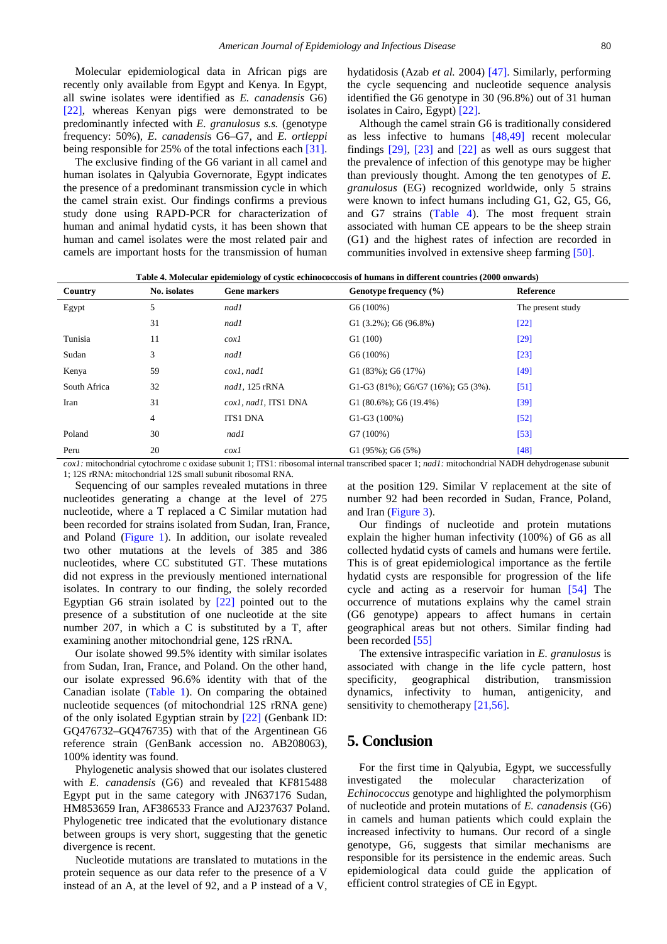Molecular epidemiological data in African pigs are recently only available from Egypt and Kenya. In Egypt, all swine isolates were identified as *E. canadensis* G6) [\[22\],](#page-7-15) whereas Kenyan pigs were demonstrated to be predominantly infected with *E. granulosus s.s.* (genotype frequency: 50%), *E. canadensi*s G6–G7, and *E. ortleppi* being responsible for 25% of the total infections each [\[31\].](#page-7-23)

The exclusive finding of the G6 variant in all camel and human isolates in Qalyubia Governorate, Egypt indicates the presence of a predominant transmission cycle in which the camel strain exist. Our findings confirms a previous study done using RAPD-PCR for characterization of human and animal hydatid cysts, it has been shown that human and camel isolates were the most related pair and camels are important hosts for the transmission of human

hydatidosis (Azab *et al.* 2004) [\[47\].](#page-8-14) Similarly, performing the cycle sequencing and nucleotide sequence analysis identified the G6 genotype in 30 (96.8%) out of 31 human isolates in Cairo, Egypt) [\[22\].](#page-7-15)

Although the camel strain G6 is traditionally considered as less infective to humans [\[48,49\]](#page-8-15) recent molecular findings [\[29\],](#page-7-21) [\[23\]](#page-7-16) and [\[22\]](#page-7-15) as well as ours suggest that the prevalence of infection of this genotype may be higher than previously thought. Among the ten genotypes of *E. granulosus* (EG) recognized worldwide, only 5 strains were known to infect humans including G1, G2, G5, G6, and G7 strains [\(Table 4\)](#page-6-0). The most frequent strain associated with human CE appears to be the sheep strain (G1) and the highest rates of infection are recorded in communities involved in extensive sheep farming [\[50\].](#page-8-16)

**Table 4. Molecular epidemiology of cystic echinococcosis of humans in different countries (2000 onwards)**

<span id="page-6-0"></span>

| Country      | No. isolates | <b>Gene markers</b>  | Genotype frequency (%)                         | <b>Reference</b>  |
|--------------|--------------|----------------------|------------------------------------------------|-------------------|
| Egypt        | 5            | nad1                 | G6(100%)                                       | The present study |
|              | 31           | nad1                 | $G1(3.2\%)$ ; $G6(96.8\%)$                     | $[22]$            |
| Tunisia      | 11           | $\cos l$             | G1(100)                                        | $[29]$            |
| Sudan        | 3            | nadl                 | G6 (100%)                                      | $[23]$            |
| Kenya        | 59           | $\cos l$ , nad $l$   | $G1(83\%)$ ; $G6(17\%)$                        | $[49]$            |
| South Africa | 32           | nad1, 125 rRNA       | G1-G3 $(81\%)$ ; G6/G7 $(16\%)$ ; G5 $(3\%)$ . | $[51]$            |
| Iran         | 31           | cox1, nad1, ITS1 DNA | G1 $(80.6\%)$ ; G6 $(19.4\%)$                  | [39]              |
|              | 4            | <b>ITS1 DNA</b>      | $G1-G3(100%)$                                  | $[52]$            |
| Poland       | 30           | nad1                 | G7 (100%)                                      | $[53]$            |
| Peru         | 20           | $\cos l$             | $G1(95\%)$ ; $G6(5\%)$                         | $[48]$            |

*cox1:* mitochondrial cytochrome c oxidase subunit 1; ITS1: ribosomal internal transcribed spacer 1; *nad1:* mitochondrial NADH dehydrogenase subunit 1; 12S rRNA: mitochondrial 12S small subunit ribosomal RNA.

Sequencing of our samples revealed mutations in three nucleotides generating a change at the level of 275 nucleotide, where a T replaced a C Similar mutation had been recorded for strains isolated from Sudan, Iran, France, and Poland [\(Figure 1\)](#page-2-0). In addition, our isolate revealed two other mutations at the levels of 385 and 386 nucleotides, where CC substituted GT. These mutations did not express in the previously mentioned international isolates. In contrary to our finding, the solely recorded Egyptian G6 strain isolated by [\[22\]](#page-7-15) pointed out to the presence of a substitution of one nucleotide at the site number 207, in which a C is substituted by a T, after examining another mitochondrial gene, 12S rRNA.

Our isolate showed 99.5% identity with similar isolates from Sudan, Iran, France, and Poland. On the other hand, our isolate expressed 96.6% identity with that of the Canadian isolate [\(Table 1\)](#page-3-0). On comparing the obtained nucleotide sequences (of mitochondrial 12S rRNA gene) of the only isolated Egyptian strain by [\[22\]](#page-7-15) (Genbank ID: GQ476732–GQ476735) with that of the Argentinean G6 reference strain (GenBank accession no. AB208063), 100% identity was found.

Phylogenetic analysis showed that our isolates clustered with *E. canadensis* (G6) and revealed that KF815488 Egypt put in the same category with JN637176 Sudan, HM853659 Iran, AF386533 France and AJ237637 Poland. Phylogenetic tree indicated that the evolutionary distance between groups is very short, suggesting that the genetic divergence is recent.

Nucleotide mutations are translated to mutations in the protein sequence as our data refer to the presence of a V instead of an A, at the level of 92, and a P instead of a V, at the position 129. Similar V replacement at the site of number 92 had been recorded in Sudan, France, Poland, and Iran [\(Figure 3\)](#page-4-0).

Our findings of nucleotide and protein mutations explain the higher human infectivity (100%) of G6 as all collected hydatid cysts of camels and humans were fertile. This is of great epidemiological importance as the fertile hydatid cysts are responsible for progression of the life cycle and acting as a reservoir for human [\[54\]](#page-8-21) The occurrence of mutations explains why the camel strain (G6 genotype) appears to affect humans in certain geographical areas but not others. Similar finding had been recorded [\[55\]](#page-8-22)

The extensive intraspecific variation in *E. granulosus* is associated with change in the life cycle pattern, host specificity, geographical distribution, transmission dynamics, infectivity to human, antigenicity, and sensitivity to chemotherapy [\[21,56\].](#page-7-14)

# **5. Conclusion**

For the first time in Qalyubia, Egypt, we successfully investigated the molecular characterization of *Echinococcus* genotype and highlighted the polymorphism of nucleotide and protein mutations of *E. canadensis* (G6) in camels and human patients which could explain the increased infectivity to humans. Our record of a single genotype, G6, suggests that similar mechanisms are responsible for its persistence in the endemic areas. Such epidemiological data could guide the application of efficient control strategies of CE in Egypt.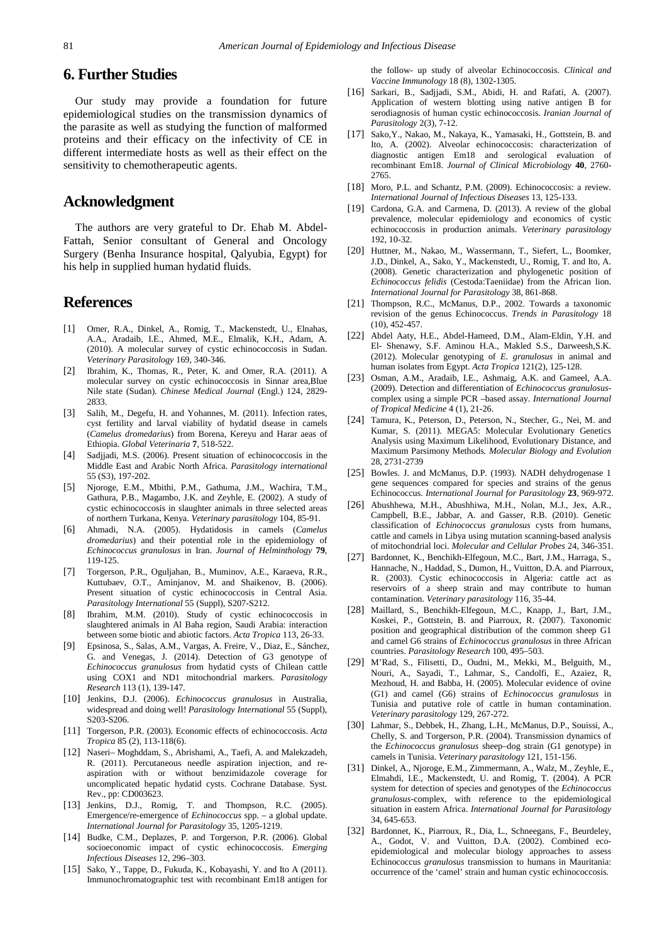# **6. Further Studies**

Our study may provide a foundation for future epidemiological studies on the transmission dynamics of the parasite as well as studying the function of malformed proteins and their efficacy on the infectivity of CE in different intermediate hosts as well as their effect on the sensitivity to chemotherapeutic agents.

## **Acknowledgment**

The authors are very grateful to Dr. Ehab M. Abdel-Fattah, Senior consultant of General and Oncology Surgery (Benha Insurance hospital, Qalyubia, Egypt) for his help in supplied human hydatid fluids.

## **References**

- <span id="page-7-0"></span>[1] Omer, R.A., Dinkel, A., Romig, T., Mackenstedt, U., Elnahas, A.A., Aradaib, I.E., Ahmed, M.E., Elmalik, K.H., Adam, A. (2010). A molecular survey of cystic echinococcosis in Sudan. *Veterinary Parasitology* 169, 340-346.
- <span id="page-7-24"></span>[2] Ibrahim, K., Thomas, R., Peter, K. and Omer, R.A. (2011). A molecular survey on cystic echinococcosis in Sinnar area,Blue Nile state (Sudan). *Chinese Medical Journal* (Engl.) 124, 2829- 2833.
- [3] Salih, M., Degefu, H. and Yohannes, M. (2011). Infection rates. cyst fertility and larval viability of hydatid dsease in camels (*Camelus dromedarius*) from Borena, Kereyu and Harar aeas of Ethiopia. *Global Veterinaria* **7**, 518-522.
- <span id="page-7-1"></span>[4] Sadjjadi, M.S. (2006). Present situation of echinococcosis in the Middle East and Arabic North Africa. *Parasitology international*  55 (S3), 197-202.
- [5] Njoroge, E.M., Mbithi, P.M., Gathuma, J.M., Wachira, T.M., Gathura, P.B., Magambo, J.K. and Zeyhle, E. (2002). A study of cystic echinococcosis in slaughter animals in three selected areas of northern Turkana, Kenya. *Veterinary parasitology* 104, 85-91.
- <span id="page-7-2"></span>[6] Ahmadi, N.A. (2005). Hydatidosis in camels (*Camelus dromedarius*) and their potential role in the epidemiology of *Echinococcus granulosus* in Iran. *Journal of Helminthology* **79**, 119-125.
- [7] Torgerson, P.R., Oguljahan, B., Muminov, A.E., Karaeva, R.R., Kuttubaev, O.T., Aminjanov, M. and Shaikenov, B. (2006). Present situation of cystic echinococcosis in Central Asia. *Parasitology International* 55 (Suppl), S207-S212.
- [8] Ibrahim, M.M. (2010). Study of cystic echinococcosis in slaughtered animals in Al Baha region, Saudi Arabia: interaction between some biotic and abiotic factors. *Acta Tropica* 113, 26-33.
- [9] Epsinosa, S., Salas, A.M., Vargas, A. Freire, V., Diaz, E., Sánchez, G. and Venegas, J. (2014). Detection of G3 genotype of *Echinococcus granulosus* from hydatid cysts of Chilean cattle using COX1 and ND1 mitochondrial markers. *Parasitology Research* 113 (1), 139-147.
- <span id="page-7-3"></span>[10] Jenkins, D.J. (2006). *Echinococcus granulosus* in Australia, widespread and doing well! *Parasitology International* 55 (Suppl), S203-S206.
- <span id="page-7-4"></span>[11] Torgerson, P.R. (2003). Economic effects of echinococcosis. *Acta Tropica* 85 (2), 113-118(6).
- <span id="page-7-5"></span>[12] Naseri– Moghddam, S., Abrishami, A., Taefi, A. and Malekzadeh, R. (2011). Percutaneous needle aspiration injection, and reaspiration with or without benzimidazole coverage for uncomplicated hepatic hydatid cysts. Cochrane Database. Syst. Rev., pp: CD003623.
- <span id="page-7-6"></span>[13] Jenkins, D.J., Romig, T. and Thompson, R.C. (2005). Emergence/re-emergence of *Echinococcus* spp. – a global update. *International Journal for Parasitology* 35, 1205-1219.
- <span id="page-7-7"></span>[14] Budke, C.M., Deplazes, P. and Torgerson, P.R. (2006). Global socioeconomic impact of cystic echinococcosis. *Emerging Infectious Diseases* 12, 296–303.
- <span id="page-7-8"></span>[15] Sako, Y., Tappe, D., Fukuda, K., Kobayashi, Y. and Ito A (2011). Immunochromatographic test with recombinant Em18 antigen for

the follow- up study of alveolar Echinococcosis. *Clinical and Vaccine Immunology* 18 (8), 1302-1305.

- <span id="page-7-9"></span>[16] Sarkari, B., Sadjjadi, S.M., Abidi, H. and Rafati, A. (2007). Application of western blotting using native antigen B for serodiagnosis of human cystic echinococcosis*. Iranian Journal of Parasitology* 2(3), 7-12.
- <span id="page-7-10"></span>[17] Sako,Y., Nakao, M., Nakaya, K., Yamasaki, H., Gottstein, B. and Ito, A. (2002). Alveolar echinococcosis: characterization of diagnostic antigen Em18 and serological evaluation of recombinant Em18. *Journal of Clinical Microbiology* **40**, 2760- 2765.
- <span id="page-7-11"></span>[18] Moro, P.L. and Schantz, P.M. (2009). Echinococcosis: a review. *International Journal of Infectious Diseases* 13, 125-133.
- <span id="page-7-12"></span>[19] Cardona, G.A. and Carmena, D. (2013). A review of the global prevalence, molecular epidemiology and economics of cystic echinococcosis in production animals. *Veterinary parasitology*  192, 10-32.
- <span id="page-7-13"></span>[20] Huttner, M., Nakao, M., Wassermann, T., Siefert, L., Boomker, J.D., Dinkel, A., Sako, Y., Mackenstedt, U., Romig, T. and Ito, A. (2008). Genetic characterization and phylogenetic position of *Echinococcus felidis* (Cestoda:Taeniidae) from the African lion. *International Journal for Parasitology* 38, 861-868.
- <span id="page-7-14"></span>[21] Thompson, R.C., McManus, D.P., 2002. Towards a taxonomic revision of the genus Echinococcus. *Trends in Parasitology* 18 (10), 452-457.
- <span id="page-7-15"></span>[22] Abdel Aaty, H.E., Abdel-Hameed, D.M., Alam-Eldin, Y.H. and El- Shenawy, S.F. Aminou H.A., Makled S.S., Darweesh,S.K. (2012). Molecular genotyping of *E. granulosus* in animal and human isolates from Egypt. *Acta Tropica* 121(2), 125-128.
- <span id="page-7-16"></span>[23] Osman, A.M., Aradaib, I.E., Ashmaig, A.K. and Gameel, A.A. (2009). Detection and differentiation of *Echinococcus granulosus*complex using a simple PCR –based assay. *International Journal of Tropical Medicine* 4 (1), 21-26.
- <span id="page-7-17"></span>[24] Tamura, K., Peterson, D., Peterson, N., Stecher, G., Nei, M. and Kumar, S. (2011). MEGA5: Molecular Evolutionary Genetics Analysis using Maximum Likelihood, Evolutionary Distance, and Maximum Parsimony Methods*. Molecular Biology and Evolution* 28, 2731-2739
- <span id="page-7-18"></span>[25] Bowles, J. and McManus, D.P. (1993). NADH dehydrogenase 1 gene sequences compared for species and strains of the genus Echinococcus. *International Journal for Parasitology* **23**, 969-972.
- [26] Abushhewa, M.H., Abushhiwa, M.H., Nolan, M.J., Jex, A.R., Campbell, B.E., Jabbar, A. and Gasser, R.B. (2010). Genetic classification of *Echinococcus granulosus* cysts from humans, cattle and camels in Libya using mutation scanning-based analysis of mitochondrial loci. *Molecular and Cellular Probes* 24, 346-351.
- <span id="page-7-19"></span>[27] Bardonnet, K., Benchikh-Elfegoun, M.C., Bart, J.M., Harraga, S., Hannache, N., Haddad, S., Dumon, H., Vuitton, D.A. and Piarroux, R. (2003). Cystic echinococcosis in Algeria: cattle act as reservoirs of a sheep strain and may contribute to human contamination. *Veterinary parasitology* 116, 35-44.
- <span id="page-7-20"></span>[28] Maillard, S., Benchikh-Elfegoun, M.C., Knapp, J., Bart, J.M., Koskei, P., Gottstein, B. and Piarroux, R. (2007). Taxonomic position and geographical distribution of the common sheep G1 and camel G6 strains of *Echinococcus granulosus* in three African countries. *Parasitology Research* 100, 495–503.
- <span id="page-7-21"></span>[29] M'Rad, S., Filisetti, D., Oudni, M., Mekki, M., Belguith, M., Nouri, A., Sayadi, T., Lahmar, S., Candolfi, E., Azaiez, R, Mezhoud, H. and Babba, H. (2005). Molecular evidence of ovine (G1) and camel (G6) strains of *Echinococcus granulosus* in Tunisia and putative role of cattle in human contamination. *Veterinary parasitology* 129, 267-272.
- <span id="page-7-22"></span>[30] Lahmar, S., Debbek, H., Zhang, L.H., McManus, D.P., Souissi, A., Chelly, S. and Torgerson, P.R. (2004). Transmission dynamics of the *Echinococcus granulosus* sheep–dog strain (G1 genotype) in camels in Tunisia. *Veterinary parasitology* 121, 151-156.
- <span id="page-7-23"></span>[31] Dinkel, A., Njoroge, E.M., Zimmermann, A., Walz, M., Zeyhle, E., Elmahdi, I.E., Mackenstedt, U. and Romig, T. (2004). A PCR system for detection of species and genotypes of the *Echinococcus granulosus*-complex, with reference to the epidemiological situation in eastern Africa. *International Journal for Parasitology*  34, 645-653.
- <span id="page-7-25"></span>[32] Bardonnet, K., Piarroux, R., Dia, L., Schneegans, F., Beurdeley, A., Godot, V. and Vuitton, D.A. (2002). Combined ecoepidemiological and molecular biology approaches to assess Echinococcus *granulosus* transmission to humans in Mauritania: occurrence of the 'camel' strain and human cystic echinococcosis.